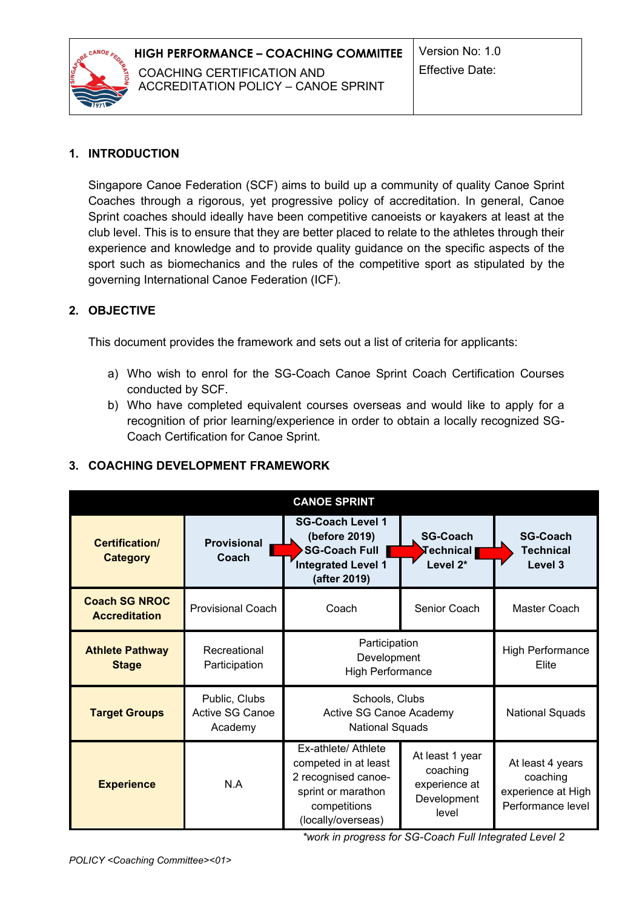

## **1. INTRODUCTION**

Singapore Canoe Federation (SCF) aims to build up a community of quality Canoe Sprint Coaches through a rigorous, yet progressive policy of accreditation. In general, Canoe Sprint coaches should ideally have been competitive canoeists or kayakers at least at the club level. This is to ensure that they are better placed to relate to the athletes through their experience and knowledge and to provide quality guidance on the specific aspects of the sport such as biomechanics and the rules of the competitive sport as stipulated by the governing International Canoe Federation (ICF).

## **2. OBJECTIVE**

This document provides the framework and sets out a list of criteria for applicants:

- a) Who wish to enrol for the SG-Coach Canoe Sprint Coach Certification Courses conducted by SCF.
- b) Who have completed equivalent courses overseas and would like to apply for a recognition of prior learning/experience in order to obtain a locally recognized SG-Coach Certification for Canoe Sprint.

### **3. COACHING DEVELOPMENT FRAMEWORK**

| <b>CANOE SPRINT</b>                          |                                             |                                                                                                                                |                                                                      |                                                                         |  |
|----------------------------------------------|---------------------------------------------|--------------------------------------------------------------------------------------------------------------------------------|----------------------------------------------------------------------|-------------------------------------------------------------------------|--|
| Certification/<br><b>Category</b>            | <b>Provisional</b><br>Coach                 | <b>SG-Coach Level 1</b><br>(before 2019)<br>SG-Coach Full<br>Integrated Level 1<br>(after 2019)                                | <b>SG-Coach</b><br><b>Technical <mark>∥</mark></b><br>Level 2*       | <b>SG-Coach</b><br><b>Technical</b><br>Level 3                          |  |
| <b>Coach SG NROC</b><br><b>Accreditation</b> | <b>Provisional Coach</b>                    | Coach                                                                                                                          | Senior Coach                                                         | Master Coach                                                            |  |
| <b>Athlete Pathway</b><br><b>Stage</b>       | Recreational<br>Participation               | Participation<br>Development<br><b>High Performance</b>                                                                        |                                                                      | <b>High Performance</b><br>Elite                                        |  |
| <b>Target Groups</b>                         | Public, Clubs<br>Active SG Canoe<br>Academy | Schools, Clubs<br>Active SG Canoe Academy<br><b>National Squads</b>                                                            |                                                                      | <b>National Squads</b>                                                  |  |
| <b>Experience</b>                            | N.A                                         | Ex-athlete/ Athlete<br>competed in at least<br>2 recognised canoe-<br>sprint or marathon<br>competitions<br>(locally/overseas) | At least 1 year<br>coaching<br>experience at<br>Development<br>level | At least 4 years<br>coaching<br>experience at High<br>Performance level |  |

*\*work in progress for SG-Coach Full Integrated Level 2*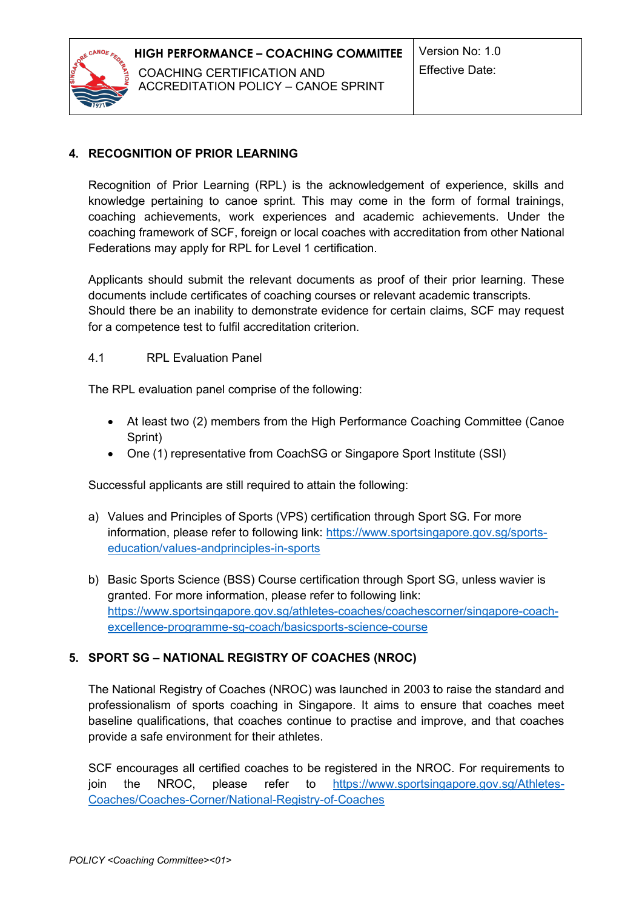

### **4. RECOGNITION OF PRIOR LEARNING**

Recognition of Prior Learning (RPL) is the acknowledgement of experience, skills and knowledge pertaining to canoe sprint. This may come in the form of formal trainings, coaching achievements, work experiences and academic achievements. Under the coaching framework of SCF, foreign or local coaches with accreditation from other National Federations may apply for RPL for Level 1 certification.

Applicants should submit the relevant documents as proof of their prior learning. These documents include certificates of coaching courses or relevant academic transcripts. Should there be an inability to demonstrate evidence for certain claims, SCF may request for a competence test to fulfil accreditation criterion.

#### 4.1 RPL Evaluation Panel

The RPL evaluation panel comprise of the following:

- At least two (2) members from the High Performance Coaching Committee (Canoe Sprint)
- One (1) representative from CoachSG or Singapore Sport Institute (SSI)

Successful applicants are still required to attain the following:

- a) Values and Principles of Sports (VPS) certification through Sport SG. For more information, please refer to following link: [https://www.sportsingapore.gov.sg/sports](https://www.sportsingapore.gov.sg/sports-education/values-andprinciples-in-sports)[education/values-andprinciples-in-sports](https://www.sportsingapore.gov.sg/sports-education/values-andprinciples-in-sports)
- b) Basic Sports Science (BSS) Course certification through Sport SG, unless wavier is granted. For more information, please refer to following link: [https://www.sportsingapore.gov.sg/athletes-coaches/coachescorner/singapore-coach](https://www.sportsingapore.gov.sg/athletes-coaches/coachescorner/singapore-coach-excellence-programme-sg-coach/basicsports-science-course)[excellence-programme-sg-coach/basicsports-science-course](https://www.sportsingapore.gov.sg/athletes-coaches/coachescorner/singapore-coach-excellence-programme-sg-coach/basicsports-science-course)

### **5. SPORT SG – NATIONAL REGISTRY OF COACHES (NROC)**

The National Registry of Coaches (NROC) was launched in 2003 to raise the standard and professionalism of sports coaching in Singapore. It aims to ensure that coaches meet baseline qualifications, that coaches continue to practise and improve, and that coaches provide a safe environment for their athletes.

SCF encourages all certified coaches to be registered in the NROC. For requirements to join the NROC, please refer to [https://www.sportsingapore.gov.sg/Athletes-](https://www.sportsingapore.gov.sg/Athletes-Coaches/Coaches-Corner/National-Registry-of-Coaches)[Coaches/Coaches-Corner/National-Registry-of-Coaches](https://www.sportsingapore.gov.sg/Athletes-Coaches/Coaches-Corner/National-Registry-of-Coaches)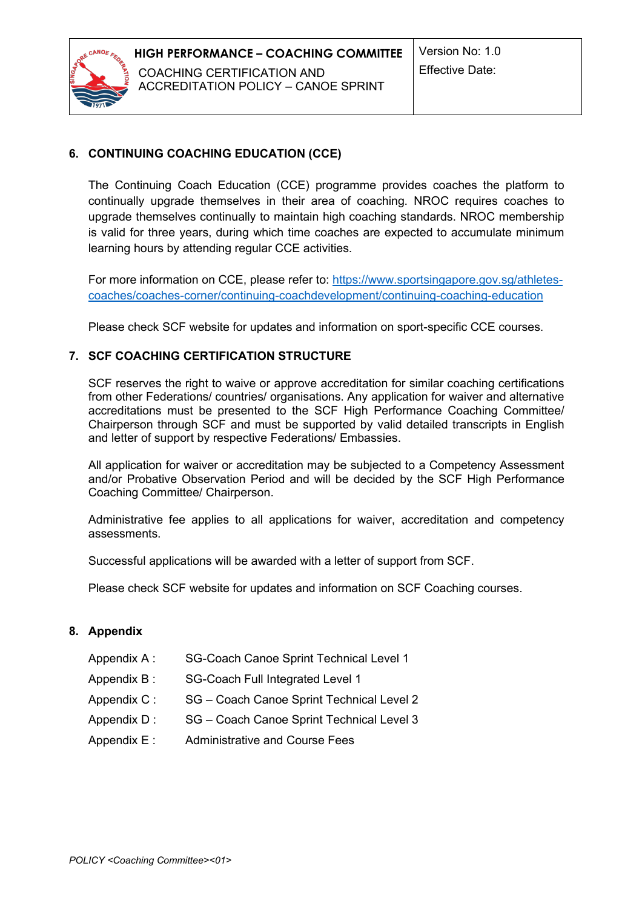

### **6. CONTINUING COACHING EDUCATION (CCE)**

The Continuing Coach Education (CCE) programme provides coaches the platform to continually upgrade themselves in their area of coaching. NROC requires coaches to upgrade themselves continually to maintain high coaching standards. NROC membership is valid for three years, during which time coaches are expected to accumulate minimum learning hours by attending regular CCE activities.

For more information on CCE, please refer to: [https://www.sportsingapore.gov.sg/athletes](https://www.sportsingapore.gov.sg/athletes-coaches/coaches-corner/continuing-coachdevelopment/continuing-coaching-education)[coaches/coaches-corner/continuing-coachdevelopment/continuing-coaching-education](https://www.sportsingapore.gov.sg/athletes-coaches/coaches-corner/continuing-coachdevelopment/continuing-coaching-education)

Please check SCF website for updates and information on sport-specific CCE courses.

#### **7. SCF COACHING CERTIFICATION STRUCTURE**

SCF reserves the right to waive or approve accreditation for similar coaching certifications from other Federations/ countries/ organisations. Any application for waiver and alternative accreditations must be presented to the SCF High Performance Coaching Committee/ Chairperson through SCF and must be supported by valid detailed transcripts in English and letter of support by respective Federations/ Embassies.

All application for waiver or accreditation may be subjected to a Competency Assessment and/or Probative Observation Period and will be decided by the SCF High Performance Coaching Committee/ Chairperson.

Administrative fee applies to all applications for waiver, accreditation and competency assessments.

Successful applications will be awarded with a letter of support from SCF.

Please check SCF website for updates and information on SCF Coaching courses.

#### **8. Appendix**

- Appendix A : SG-Coach Canoe Sprint Technical Level 1
- Appendix B: SG-Coach Full Integrated Level 1
- Appendix C: SG Coach Canoe Sprint Technical Level 2
- Appendix D: SG Coach Canoe Sprint Technical Level 3
- Appendix E : Administrative and Course Fees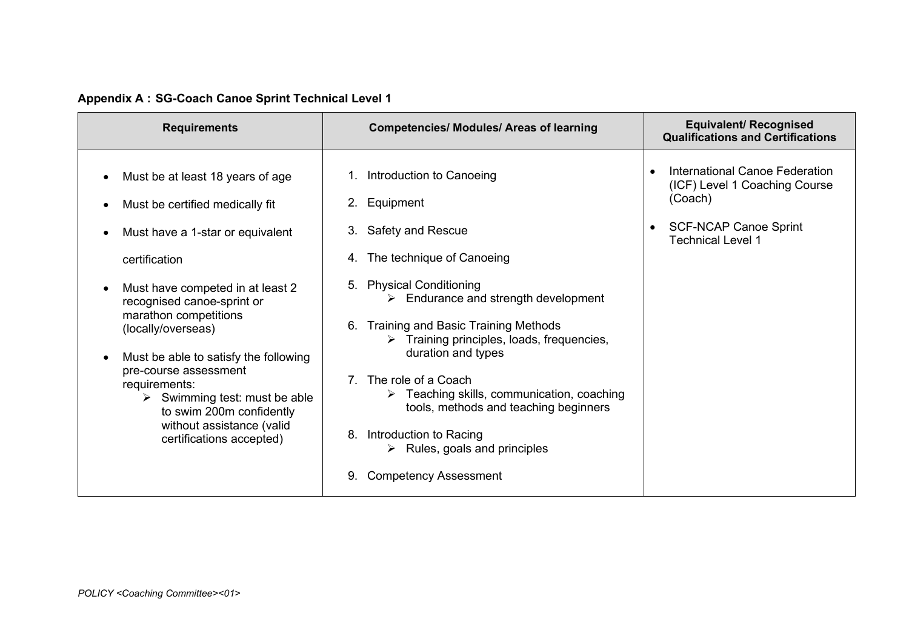| <b>Requirements</b>                                                                                                                                                                                                                                                                                                                                                                                                                                               | <b>Competencies/ Modules/ Areas of learning</b>                                                                                                                                                                                                                                                                                                                                                                                                                                                                                                                         | <b>Equivalent/ Recognised</b><br><b>Qualifications and Certifications</b>                                                                                        |
|-------------------------------------------------------------------------------------------------------------------------------------------------------------------------------------------------------------------------------------------------------------------------------------------------------------------------------------------------------------------------------------------------------------------------------------------------------------------|-------------------------------------------------------------------------------------------------------------------------------------------------------------------------------------------------------------------------------------------------------------------------------------------------------------------------------------------------------------------------------------------------------------------------------------------------------------------------------------------------------------------------------------------------------------------------|------------------------------------------------------------------------------------------------------------------------------------------------------------------|
| Must be at least 18 years of age<br>Must be certified medically fit<br>Must have a 1-star or equivalent<br>certification<br>Must have competed in at least 2<br>recognised canoe-sprint or<br>marathon competitions<br>(locally/overseas)<br>Must be able to satisfy the following<br>pre-course assessment<br>requirements:<br>$\triangleright$ Swimming test: must be able<br>to swim 200m confidently<br>without assistance (valid<br>certifications accepted) | 1. Introduction to Canoeing<br>Equipment<br>2.<br>3. Safety and Rescue<br>The technique of Canoeing<br>4.<br><b>Physical Conditioning</b><br>5.<br>$\triangleright$ Endurance and strength development<br>Training and Basic Training Methods<br>6.<br>Training principles, loads, frequencies,<br>⋗<br>duration and types<br>The role of a Coach<br>$\triangleright$ Teaching skills, communication, coaching<br>tools, methods and teaching beginners<br>8.<br>Introduction to Racing<br>$\triangleright$ Rules, goals and principles<br><b>Competency Assessment</b> | International Canoe Federation<br>$\bullet$<br>(ICF) Level 1 Coaching Course<br>(Coach)<br><b>SCF-NCAP Canoe Sprint</b><br>$\bullet$<br><b>Technical Level 1</b> |

# **Appendix A : SG-Coach Canoe Sprint Technical Level 1**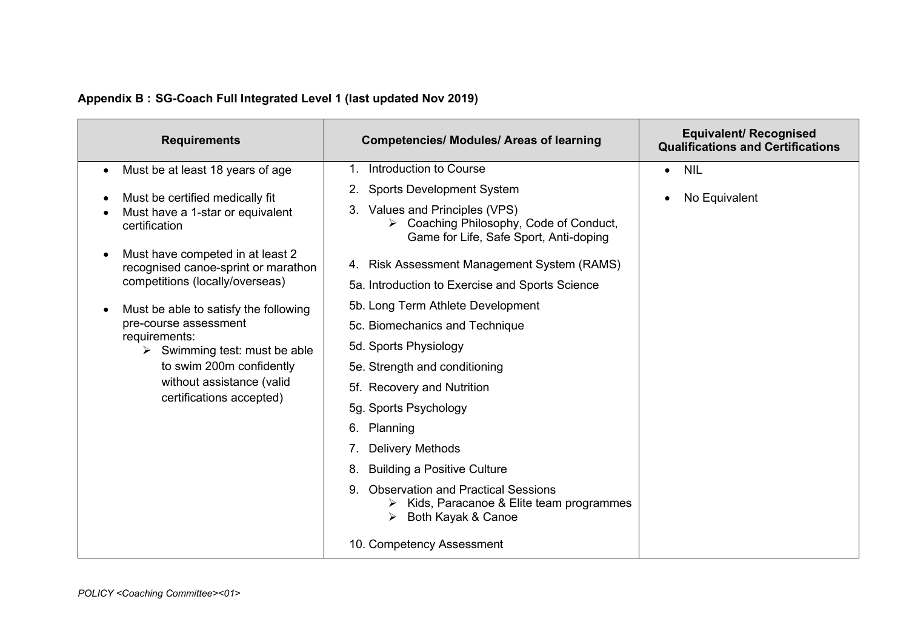| <b>Requirements</b>                                                                                                                                                                                                                                                                                                                | <b>Competencies/ Modules/ Areas of learning</b>                                                                                                                                                                                                                                                                                                                                                                                                                                                                                            | <b>Equivalent/ Recognised</b><br><b>Qualifications and Certifications</b> |
|------------------------------------------------------------------------------------------------------------------------------------------------------------------------------------------------------------------------------------------------------------------------------------------------------------------------------------|--------------------------------------------------------------------------------------------------------------------------------------------------------------------------------------------------------------------------------------------------------------------------------------------------------------------------------------------------------------------------------------------------------------------------------------------------------------------------------------------------------------------------------------------|---------------------------------------------------------------------------|
| Must be at least 18 years of age                                                                                                                                                                                                                                                                                                   | Introduction to Course<br>1.                                                                                                                                                                                                                                                                                                                                                                                                                                                                                                               | <b>NIL</b><br>$\bullet$                                                   |
| Must be certified medically fit<br>Must have a 1-star or equivalent<br>certification                                                                                                                                                                                                                                               | <b>Sports Development System</b><br>2.<br>Values and Principles (VPS)<br>Coaching Philosophy, Code of Conduct,<br>Game for Life, Safe Sport, Anti-doping                                                                                                                                                                                                                                                                                                                                                                                   | No Equivalent<br>$\bullet$                                                |
| Must have competed in at least 2<br>recognised canoe-sprint or marathon<br>competitions (locally/overseas)<br>Must be able to satisfy the following<br>pre-course assessment<br>requirements:<br>$\triangleright$ Swimming test: must be able<br>to swim 200m confidently<br>without assistance (valid<br>certifications accepted) | 4. Risk Assessment Management System (RAMS)<br>5a. Introduction to Exercise and Sports Science<br>5b. Long Term Athlete Development<br>5c. Biomechanics and Technique<br>5d. Sports Physiology<br>5e. Strength and conditioning<br>5f. Recovery and Nutrition<br>5g. Sports Psychology<br>Planning<br>6.<br><b>Delivery Methods</b><br><b>Building a Positive Culture</b><br>8.<br><b>Observation and Practical Sessions</b><br>9.<br>Kids, Paracanoe & Elite team programmes<br>➤<br>Both Kayak & Canoe<br>➤<br>10. Competency Assessment |                                                                           |

# **Appendix B : SG-Coach Full Integrated Level 1 (last updated Nov 2019)**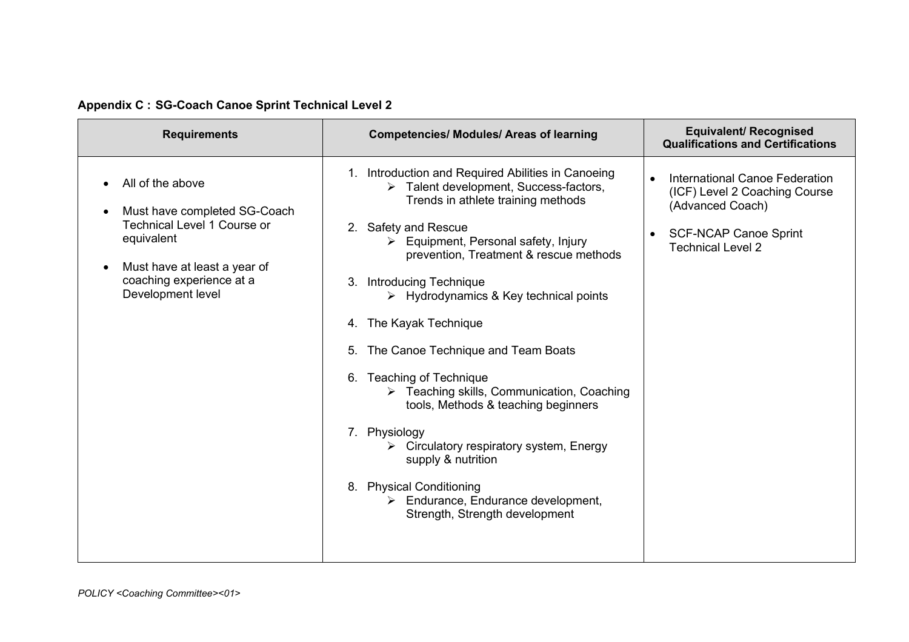|  |  | Appendix C : SG-Coach Canoe Sprint Technical Level 2 |  |  |  |
|--|--|------------------------------------------------------|--|--|--|
|--|--|------------------------------------------------------|--|--|--|

| <b>Requirements</b>                                                                                                                                                                   | <b>Competencies/ Modules/ Areas of learning</b>                                                                                                                                                                                                                                                                                                                                                                                                                                                                                                                                                                                                                                                                                                                                                                       | <b>Equivalent/ Recognised</b><br><b>Qualifications and Certifications</b>                                                                                    |
|---------------------------------------------------------------------------------------------------------------------------------------------------------------------------------------|-----------------------------------------------------------------------------------------------------------------------------------------------------------------------------------------------------------------------------------------------------------------------------------------------------------------------------------------------------------------------------------------------------------------------------------------------------------------------------------------------------------------------------------------------------------------------------------------------------------------------------------------------------------------------------------------------------------------------------------------------------------------------------------------------------------------------|--------------------------------------------------------------------------------------------------------------------------------------------------------------|
| All of the above<br>Must have completed SG-Coach<br><b>Technical Level 1 Course or</b><br>equivalent<br>Must have at least a year of<br>coaching experience at a<br>Development level | 1. Introduction and Required Abilities in Canoeing<br>$\triangleright$ Talent development, Success-factors,<br>Trends in athlete training methods<br>2. Safety and Rescue<br>Equipment, Personal safety, Injury<br>prevention, Treatment & rescue methods<br><b>Introducing Technique</b><br>3.<br>$\triangleright$ Hydrodynamics & Key technical points<br>4. The Kayak Technique<br>The Canoe Technique and Team Boats<br><b>Teaching of Technique</b><br>6.<br>$\triangleright$ Teaching skills, Communication, Coaching<br>tools, Methods & teaching beginners<br>Physiology<br>$7_{\scriptscriptstyle{\sim}}$<br>$\triangleright$ Circulatory respiratory system, Energy<br>supply & nutrition<br><b>Physical Conditioning</b><br>8.<br>Endurance, Endurance development,<br>➤<br>Strength, Strength development | International Canoe Federation<br>$\bullet$<br>(ICF) Level 2 Coaching Course<br>(Advanced Coach)<br><b>SCF-NCAP Canoe Sprint</b><br><b>Technical Level 2</b> |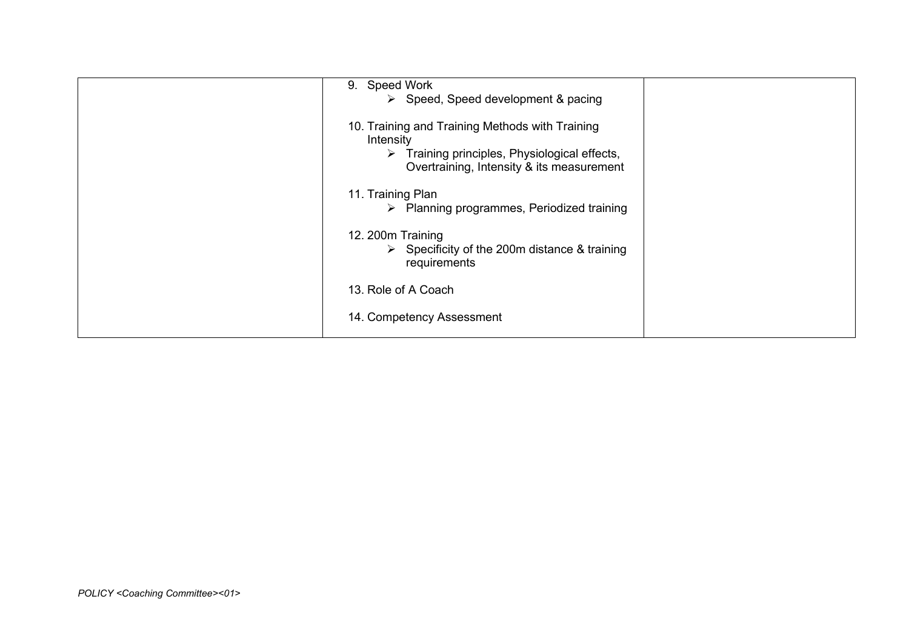| 9. Speed Work<br>$\triangleright$ Speed, Speed development & pacing<br>10. Training and Training Methods with Training<br>Intensity<br>$\triangleright$ Training principles, Physiological effects,<br>Overtraining, Intensity & its measurement<br>11. Training Plan<br>$\triangleright$ Planning programmes, Periodized training<br>12. 200m Training<br>$\triangleright$ Specificity of the 200m distance & training<br>requirements<br>13. Role of A Coach |  |
|----------------------------------------------------------------------------------------------------------------------------------------------------------------------------------------------------------------------------------------------------------------------------------------------------------------------------------------------------------------------------------------------------------------------------------------------------------------|--|
| 14. Competency Assessment                                                                                                                                                                                                                                                                                                                                                                                                                                      |  |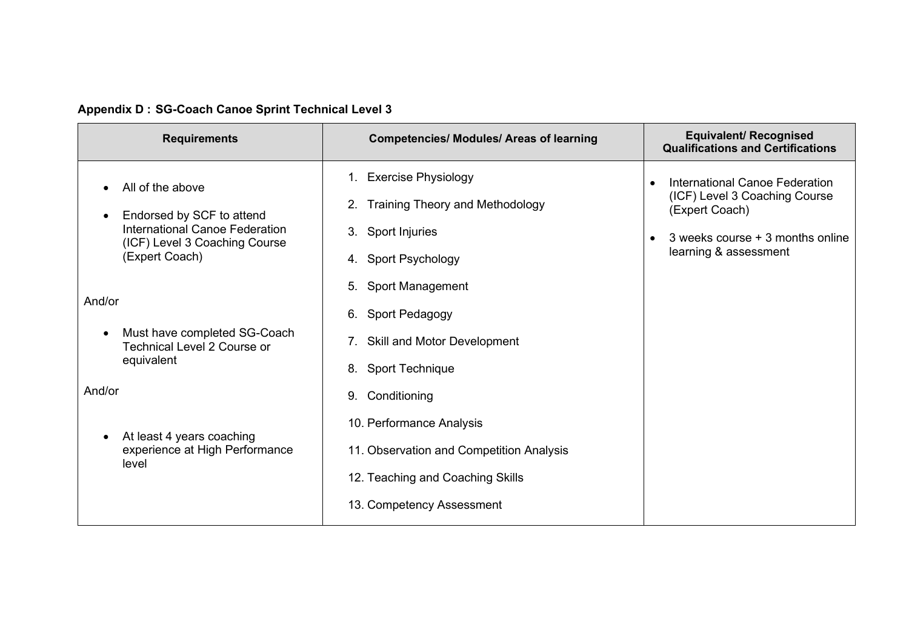|  |  | <b>Appendix D: SG-Coach Canoe Sprint Technical Level 3</b> |  |  |
|--|--|------------------------------------------------------------|--|--|
|--|--|------------------------------------------------------------|--|--|

| <b>Requirements</b>                                                                                                                             | <b>Competencies/ Modules/ Areas of learning</b>                                                                                                          | <b>Equivalent/ Recognised</b><br><b>Qualifications and Certifications</b>                                                                      |
|-------------------------------------------------------------------------------------------------------------------------------------------------|----------------------------------------------------------------------------------------------------------------------------------------------------------|------------------------------------------------------------------------------------------------------------------------------------------------|
| All of the above<br>Endorsed by SCF to attend<br>$\bullet$<br>International Canoe Federation<br>(ICF) Level 3 Coaching Course<br>(Expert Coach) | 1. Exercise Physiology<br>2. Training Theory and Methodology<br>3. Sport Injuries<br>4. Sport Psychology                                                 | International Canoe Federation<br>(ICF) Level 3 Coaching Course<br>(Expert Coach)<br>3 weeks course + 3 months online<br>learning & assessment |
| And/or<br>Must have completed SG-Coach<br><b>Technical Level 2 Course or</b><br>equivalent                                                      | 5. Sport Management<br>6. Sport Pedagogy<br>7. Skill and Motor Development<br>8. Sport Technique                                                         |                                                                                                                                                |
| And/or<br>At least 4 years coaching<br>experience at High Performance<br>level                                                                  | 9. Conditioning<br>10. Performance Analysis<br>11. Observation and Competition Analysis<br>12. Teaching and Coaching Skills<br>13. Competency Assessment |                                                                                                                                                |